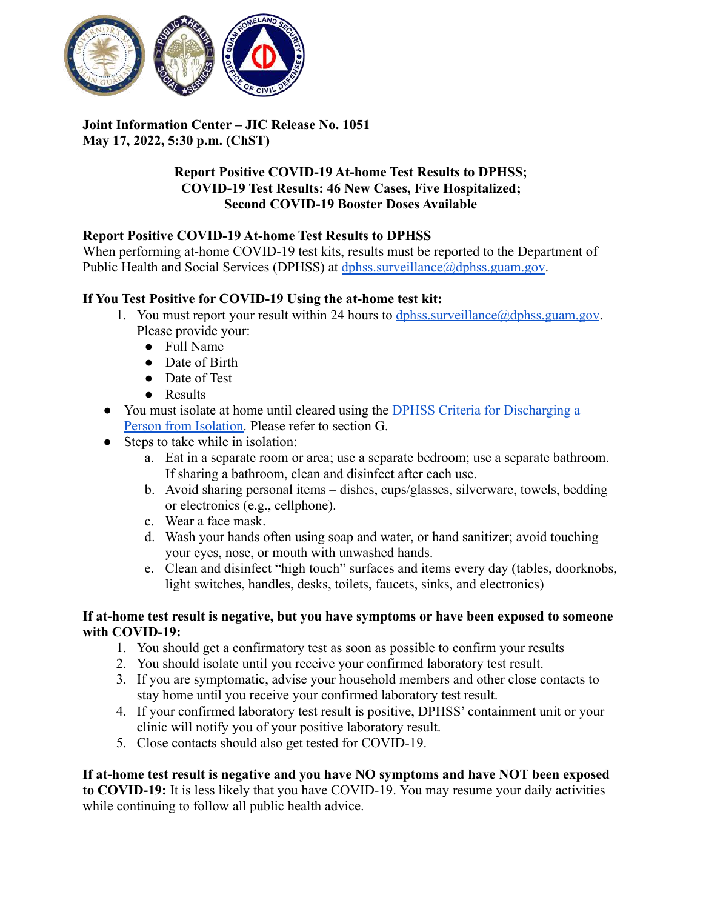

# **Joint Information Center – JIC Release No. 1051 May 17, 2022, 5:30 p.m. (ChST)**

## **Report Positive COVID-19 At-home Test Results to DPHSS; COVID-19 Test Results: 46 New Cases, Five Hospitalized; Second COVID-19 Booster Doses Available**

## **Report Positive COVID-19 At-home Test Results to DPHSS**

When performing at-home COVID-19 test kits, results must be reported to the Department of Public Health and Social Services (DPHSS) at [dphss.surveillance@dphss.guam.gov.](mailto:dphss.surveillance@dphss.guam.gov)

## **If You Test Positive for COVID-19 Using the at-home test kit:**

- 1. You must report your result within 24 hours to  $dphss.surveillance@dbhss.guam.gov$ . Please provide your:
	- Full Name
	- Date of Birth
	- Date of Test
	- Results
- You must isolate at home until cleared using the DPHSS [Criteria for Discharging a](https://dphss.guam.gov/wp-content/uploads/2022/01/DPHSS-GUIDANCE-MEMO-2021-16-REV02-01-28-2022_FINAL.pdf) [Person from Isolation.](https://dphss.guam.gov/wp-content/uploads/2022/01/DPHSS-GUIDANCE-MEMO-2021-16-REV02-01-28-2022_FINAL.pdf) Please refer to section G.
- Steps to take while in isolation:
	- a. Eat in a separate room or area; use a separate bedroom; use a separate bathroom. If sharing a bathroom, clean and disinfect after each use.
	- b. Avoid sharing personal items dishes, cups/glasses, silverware, towels, bedding or electronics (e.g., cellphone).
	- c. Wear a face mask.
	- d. Wash your hands often using soap and water, or hand sanitizer; avoid touching your eyes, nose, or mouth with unwashed hands.
	- e. Clean and disinfect "high touch" surfaces and items every day (tables, doorknobs, light switches, handles, desks, toilets, faucets, sinks, and electronics)

### **If at-home test result is negative, but you have symptoms or have been exposed to someone with COVID-19:**

- 1. You should get a confirmatory test as soon as possible to confirm your results
- 2. You should isolate until you receive your confirmed laboratory test result.
- 3. If you are symptomatic, advise your household members and other close contacts to stay home until you receive your confirmed laboratory test result.
- 4. If your confirmed laboratory test result is positive, DPHSS' containment unit or your clinic will notify you of your positive laboratory result.
- 5. Close contacts should also get tested for COVID-19.

# **If at-home test result is negative and you have NO symptoms and have NOT been exposed**

**to COVID-19:** It is less likely that you have COVID-19. You may resume your daily activities while continuing to follow all public health advice.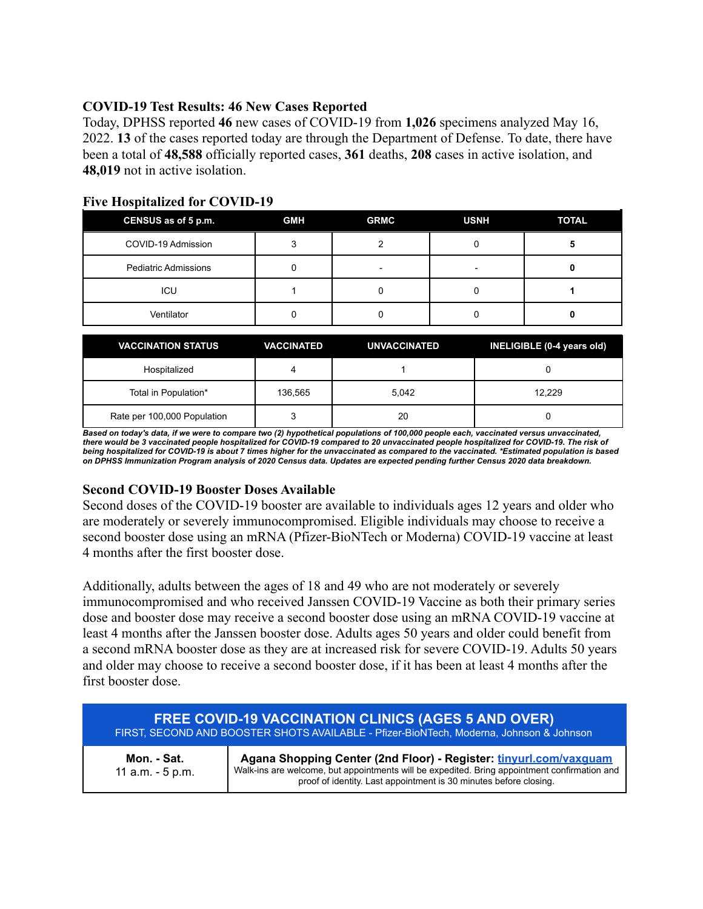## **COVID-19 Test Results: 46 New Cases Reported**

Today, DPHSS reported **46** new cases of COVID-19 from **1,026** specimens analyzed May 16, 2022. **13** of the cases reported today are through the Department of Defense. To date, there have been a total of **48,588** officially reported cases, **361** deaths, **208** cases in active isolation, and **48,019** not in active isolation.

| CENSUS as of 5 p.m.         | <b>GMH</b> | <b>GRMC</b> | <b>USNH</b> | <b>TOTAL</b> |
|-----------------------------|------------|-------------|-------------|--------------|
| COVID-19 Admission          |            |             |             |              |
| <b>Pediatric Admissions</b> |            |             |             |              |
| ICU                         |            |             |             |              |
| Ventilator                  |            |             |             |              |

#### **Five Hospitalized for COVID-19**

| <b>VACCINATION STATUS</b>   | <b>VACCINATED</b> | <b>UNVACCINATED</b> | INELIGIBLE (0-4 years old) |
|-----------------------------|-------------------|---------------------|----------------------------|
| Hospitalized                |                   |                     |                            |
| Total in Population*        | 136,565           | 5.042               | 12.229                     |
| Rate per 100,000 Population |                   | 20                  |                            |

Based on today's data, if we were to compare two (2) hypothetical populations of 100,000 people each, vaccinated versus unvaccinated, there would be 3 vaccinated people hospitalized for COVID-19 compared to 20 unvaccinated people hospitalized for COVID-19. The risk of being hospitalized for COVID-19 is about 7 times higher for the unvaccinated as compared to the vaccinated. \*Estimated population is based on DPHSS Immunization Program analysis of 2020 Census data. Updates are expected pending further Census 2020 data breakdown.

### **Second COVID-19 Booster Doses Available**

Second doses of the COVID-19 booster are available to individuals ages 12 years and older who are moderately or severely immunocompromised. Eligible individuals may choose to receive a second booster dose using an mRNA (Pfizer-BioNTech or Moderna) COVID-19 vaccine at least 4 months after the first booster dose.

Additionally, adults between the ages of 18 and 49 who are not moderately or severely immunocompromised and who received Janssen COVID-19 Vaccine as both their primary series dose and booster dose may receive a second booster dose using an mRNA COVID-19 vaccine at least 4 months after the Janssen booster dose. Adults ages 50 years and older could benefit from a second mRNA booster dose as they are at increased risk for severe COVID-19. Adults 50 years and older may choose to receive a second booster dose, if it has been at least 4 months after the first booster dose.

| <b>FREE COVID-19 VACCINATION CLINICS (AGES 5 AND OVER)</b><br>FIRST, SECOND AND BOOSTER SHOTS AVAILABLE - Pfizer-BioNTech, Moderna, Johnson & Johnson |                                                                                                                                                                                                                                        |  |
|-------------------------------------------------------------------------------------------------------------------------------------------------------|----------------------------------------------------------------------------------------------------------------------------------------------------------------------------------------------------------------------------------------|--|
| Mon. - Sat.<br>11 a.m. - 5 p.m.                                                                                                                       | Agana Shopping Center (2nd Floor) - Register: tinyurl.com/vaxquam<br>Walk-ins are welcome, but appointments will be expedited. Bring appointment confirmation and<br>proof of identity. Last appointment is 30 minutes before closing. |  |